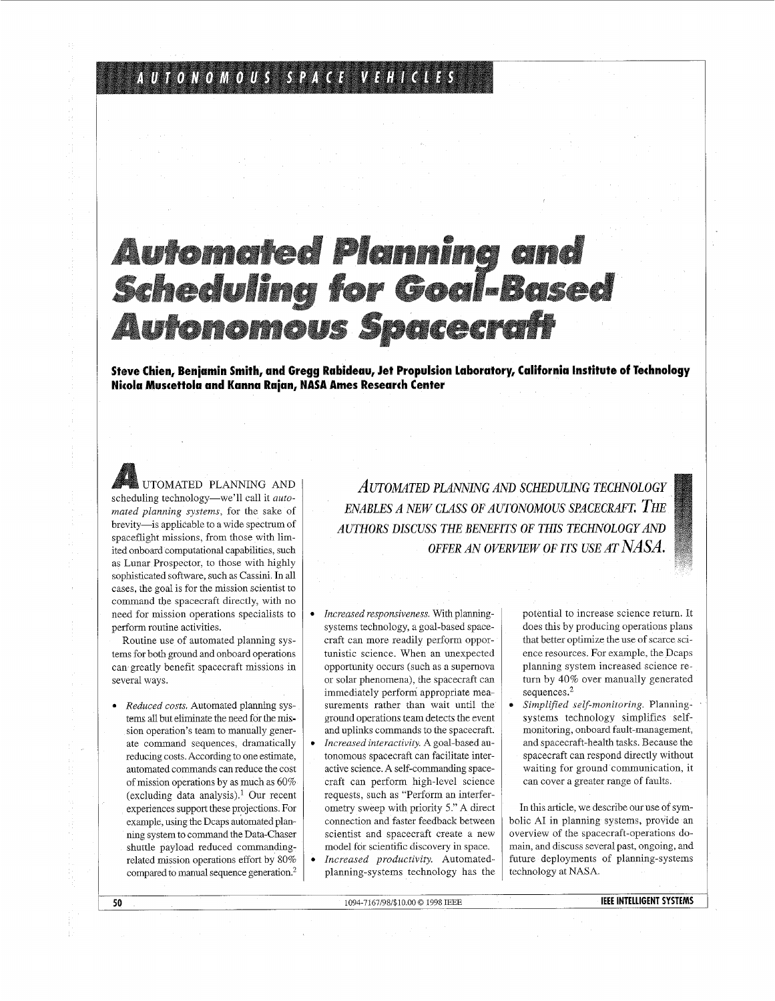## AUTONOMOUS SPACE VEHICLES

# **Automated Planning and<br>Scheduling for Goal-Based Autonomous Spacecraft**

**Steve Chien, Benjamin Smith, and Gregg Rabideau, Jet Propulsion Laboratory, California Institute of Technology Nicola Muscettola and Kanna Rajan, NASA Ames Research Center** 

UTOMATED PLANNING AND scheduling technology-we'll call it *automated planning systems,* for the sake of brevity-is applicable to a wide spectrum of spaceflight missions, from those with limited onboard computational capabilities, such as Lunar Prospector, to those with highly sophisticated software, such as Cassini In all cases, the goal is for the mission scientist to command the spacecraft directly, with no need for mission operations specialists to perform routine activities.

Routine use of automated planning systems for both ground and onboard operations can greatly benefit spacecraft missions in several ways.

*Reduced costs.* Automated planning systems all but eliminate the need for the mission operation's team to manually generate command sequences, dramatically reducing costs. According to one estimate, automated commands can reduce the cost of mission operations by as much as 60% (excluding data analysis).<sup>1</sup> Our recent experiences support these projections. For example, using the Dcaps automated planning system to command the Data-Chaser shuttle payload reduced commandingrelated mission operations effort by 80% compared to manual sequence generation?

*AUTOMTED PLANNING AND SCHEDULING TECHNOLOGY ENABLES A NEW CLASS OF AUTONOMOUS SPACECRAFT THE AUTHORS DISCUSS THE BENEFITS OF THIS TECHNOLOGY AND OFFER AN OVERVIEW OF ITS USE AT NASA.* 

- *Increased responsiveness.* With planningsystems technology, a goal-based spacecraft can more readily perform opportunistic science. When an unexpected opportunity occurs (such as a supernova or solar phenomena), the spacecraft can immediately perform appropriate measurements rather than wait until the ground operations team detects the event and uplinks commands to the spacecraft.
- *Increased interactivity.* A goal-based au- $\bullet$ tonomous spacecraft can facilitate interactive science. A self-commanding spacecraft can perform high-level science requests, such as "Perform an interferometry sweep with priority 5." A direct connection and faster feedback between scientist and spacecraft create a new model for scientific discovery in space.
- $\bullet$ *Increased productivity.* Automatedplanning-systems technology has the

potential to increase science return. It does this by producing operations plans that better optimize the use of scarce science resources. For example, the Dcaps planning system increased science return by 40% over manually generated sequences.<sup>2</sup>

*0 Simplified self-monitoring.* Planningsystems technology simplifies selfmonitoring, onboard fault-management, and spacecraft-health tasks. Because the spacecraft can respond directly without waiting for ground communication, it can cover a greater range of faults.

In this article, we describe our use of symbolic AI in planning systems, provide an overview of the spacecraft-operations domain, and discuss several past, ongoing, and future deployments of planning-systems technology at NASA.

**50** 1094-7167/98/\$10,00 *0* 1998 IEEE

**IEEE INTELLIGENT SYSTEMS**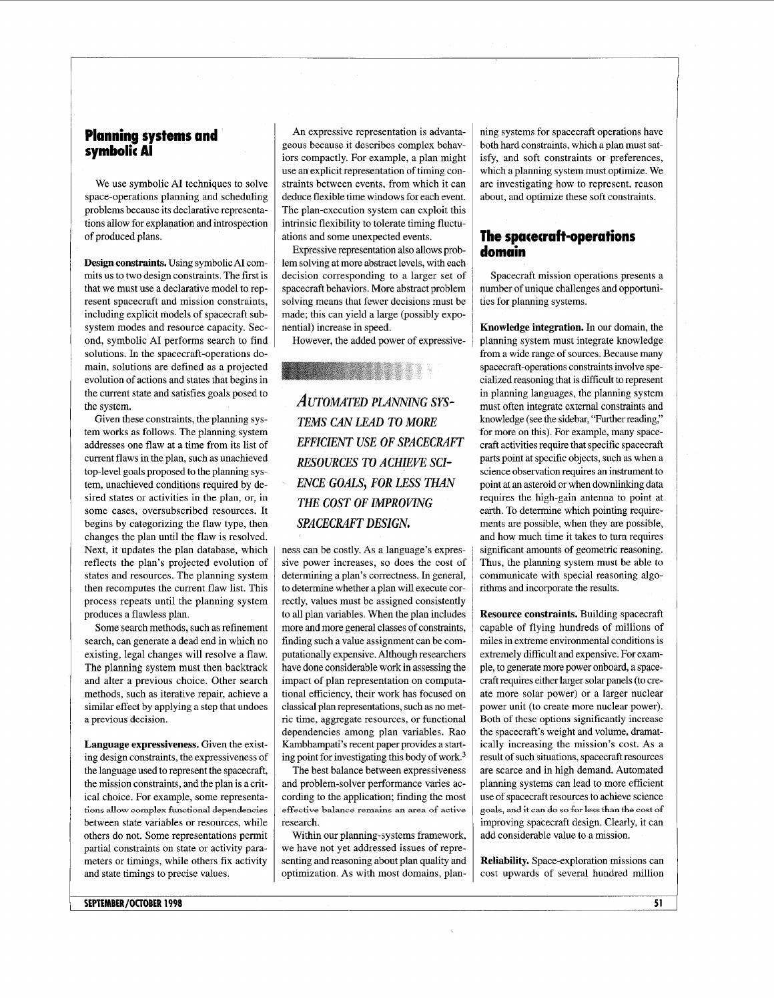## **Planning systems and symbolic AI**

We use symbolic AI techniques to solve space-operations planning and scheduling problems because its declarative representations allow for explanation and introspection of produced plans.

**Design constraints.** Using symbolic AI commits us to two design constraints. The first is that we must use a declarative model to represent spacecraft and mission constraints, including explicit models of spacecraft subsystem modes and resource capacity. Second, symbolic AI performs search to find solutions. In the spacecraft-operations domain, solutions are defined as a projected evolution of actions and states that begins in the current state and satisfies goals posed to the system.

Given these constraints, the planning system works as follows. The planning system addresses one flaw at a time from its list of current flaws in the plan, such **as** unachieved top-level goals proposed to the planning system, unachieved conditions required by desired states or activities in the plan, or, in some cases, oversubscribed resources. It begins by categorizing the flaw type, then changes the plan until the flaw is resolved. Next, it updates the plan database, which reflects the plan's projected evolution of states and resources. The planning system then recomputes the current flaw list. This process repeats until the planning system produces a flawless plan.

Some search methods, such as refinement search, can generate a dead end in which no existing, legal changes will resolve a flaw. The planning system must then backtrack and alter a previous choice. Other search methods, such as iterative repair, achieve a similar effect by applying a step that undoes a previous decision.

**Language expressiveness.** Given the existing design constraints, the expressiveness of the language used to represent the spacecraft, the mission constraints, and the plan is a critical choice. For example, some representabetween state variables or resources, while others do not. Some representations permit partial constraints on state or activity parameters or timings, while others fix activity and state timings to precise values. **tions allow complex functional dependencies** 

An expressive representation is advantageous because it describes complex behaviors compactly. For example, a plan might use an explicit representation of timing constraints between events, from which it can deduce flexible time windows for each event. The plan-execution system can exploit this intrinsic flexibility to tolerate timing fluctuations and some unexpected events.

Expressive representation also allows problem solving at more abstract levels, with each decision corresponding to a larger set of spacecraft behaviors. More abstract problem solving means that fewer decisions must be made; this can yield a large (possibly exponential) increase in speed.

However, the added power of expressive-

## &;:

AUTOMATED PLANNING SYS-*TEMS CAN LEAD TO MORE EFFICIENT USE OF SPACECRAFT RESOURCES TO ACHIEVE SCI-ENCE GOALS, FOR LESS THAN THE COST OF IMPROVING SPACECRAFT DESIGN.* 

ness can be costly. As a language's expressive power increases, **so** does the cost of determining a plan's correctness. In general, to determine whether a plan will execute correctly, values must be assigned consistently to all plan variables. When the plan includes more **and** more general classes of constraints, finding such a value assignment can be computationally expensive. Although researchers have done considerable work in assessing the impact of plan representation on computational efficiency, their work has focused on classical plan representations, such **as** no metric time, aggregate resources, or functional dependencies among plan variables. Rao Kambhampati's recent paper provides a starting point for investigating this body of work.3

The best balance between expressiveness and problem-solver performance varies according to the application; finding the most research. **effective balance remains an area** of **active** 

Within our planning-systems framework, we have not yet addressed issues of representing and reasoning about plan quality and optimization. As with most domains, planning systems for spacecraft operations have both hard constraints, which a plan must satisfy, and soft constraints or preferences, which a planning system must optimize. We are investigating how to represent, reason about, and optimize these soft constraints.

## **The spacecraft-operations domain**

Spacecraft mission operations presents a number of unique challenges and opportunities for planning systems.

**Knowledge integration.** In our domain, the planning system must integrate knowledge from a wide range of sources. Because many spacecraft-operations constraints involve specialized reasoning that is difficult to represent in planning languages, the planning system must often integrate external constraints and knowledge (see the sidebar, "Further reading," for more on this). For example, many spacecraft activities require that specific spacecraft parts point at specific objects, such as when a science observation requires an instrument to point at **an** asteroid or when downlinking data requires the high-gain antenna to point at earth. To determine which pointing requirements are possible, when they are possible, and how much time it takes to turn requires significant amounts of geometric reasoning. Thus, the planning system must be able to communicate with special reasoning algorithms and incorporate the results.

**Resource constraints.** Building spacecraft capable of flying hundreds of millions of miles in extreme environmental conditions is extremely difficult and expensive. For example, to generate more power onboard, a spacecraft requires either larger solar panels (to create more solar power) or a larger nuclear power unit (to create more nuclear power). Both of these options significantly increase the spacecraft's weight and volume, dramatically increasing the mission's cost. As a result of such situations, spacecraft resources are scarce and in high demand. Automated planning systems can lead to more efficient use of spacecraft resources to achieve science improving spacecraft design. Clearly, it can add considerable value to a mission. **goals, and it can do so** for **less than the cost of** 

**Reliability.** Space-exploration missions can cost upwards of several hundred million

**SEPTEMBER/OCTOBER 1998**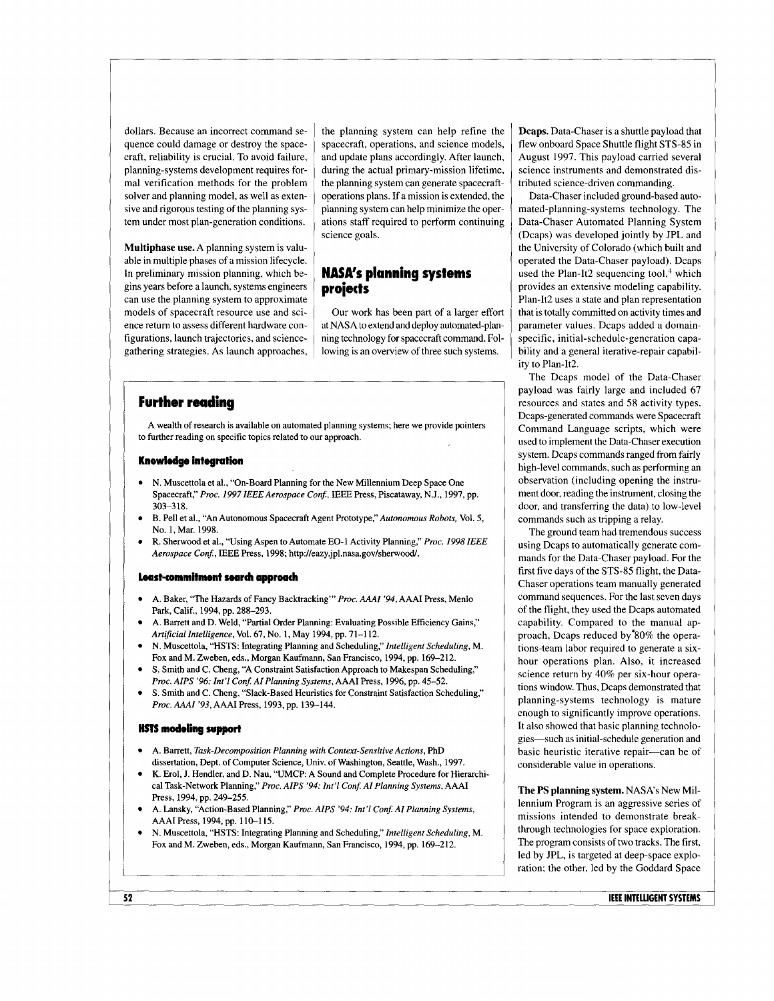dollars. Because an incorrect command sequence could damage or destroy the spacecraft, reliability is crucial. To avoid failure, planning-systems development requires formal verification methods for the problem solver and planning model, as well **as** extensive and rigorous testing of the planning system under most plan-generation conditions.

**Multiphase use.** A planning system is valuable in multiple phases of a mission lifecycle. In preliminary mission planning, which begins years before a launch, systems engineers can use the planning system to approximate models of spacecraft resource use and science return to assess different hardware configurations, launch trajectories, and sciencegathering strategies. As launch approaches,

the planning system can help refine the spacecraft, operations, and science models, and update plans accordingly. After launch, during the actual primary-mission lifetime, the planning system can generate spacecraftoperations plans. If a mission is extended, the planning system can help minimize the operations staff required to perform continuing science goals.

## **NASA's planning systems**  projects

Our work has been part of a larger effort at NASA to extend and deploy automated-planning technology for spacecraft command. Following is an overview of three such systems.

## **Further reading**

A wealth of research is available on automated planning systems; here we provide pointers to further reading on specific topics related to our approach.

#### **Knowledge integration**

- N. Muscettola et al., "On-Board Planning for the New Millennium Deep Space One Spacecraft," Proc. 1997 IEEE Aerospace Conf., IEEE Press, Piscataway, N.J., 1997, pp. 303-3 18.
- B. Pel1 et al., "An Autonomous Spacecraft Agent Prototype," *Autonomous Robots,* Vol. *5,*  No. 1, Mar. 1998.
- R. Sherwood et al., "Using Aspen to Automate EO-1 Activity Planning," *Proc.* 1998 IEEE *Aerospace Con\$* , IEEE Press, 1998; **[http://eazy.jpl.nasa.gov/sherwood/](http://eazy.jpl.nasa.gov/sherwood).**

#### **hshommitment search approach**

- A. Baker, "The Hazards of Fancy Backtracking"' *Proc. AAAI* '94, AAAI Press, Menlo Park, Calif., 1994, pp. 288-293.
- A. Barrett and D. Weld, "Partial Order Planning: Evaluating Possible Efficiency Gains," *Arti\$cial Intelligence,* Vol. 67, No. 1, May 1994, pp. 71-1 12.
- **N.** Muscettola, "HSTS: Integrating Planning and Scheduling," *Intelligent Scheduling,* M. Fox and M. Zweben, eds., Morgan Kaufmann, San Francisco, 1994, pp. 169-212.
- **S.** Smith and C. Cheng, "A Constraint Satisfaction Approach to Makespan Scheduling," Proc. AIPS '96: Int'l Conf. AI Planning Systems, AAAI Press, 1996, pp. 45-52.
- **S. Smith** and C. Cheng, "Slack-Based Heuristics for Constraint Satisfaction Scheduling," *Proc. AAAI* '93,AAAI Press, 1993, pp. 139-144.

#### **HSTS modeling support**

- A. Barrett, *Task-Decomposition Planning with Context-Sensitive Actions,* PhD dissertation, Dept. of Computer Science, Univ. of Washington, Seattle, Wash., 1997.
- **K.** Erol, J. Hendler, and **D.** Nau, "UMCP: A Sound and Complete Procedure for Hierarchical Task-Network Planning," *Proc. AIPS* '94: *Int'l Con\$ AI Planning Systems,* AAAI Press, 1994, pp. 249-255.
- A. Lansky, "Action-Based Planning," Proc. AIPS '94: Int'l Conf. AI Planning Systems, AAAI Press, 1994, pp. 110-1 15.
- N. Muscettola, "HSTS: Integrating Planning and Scheduling," *Intelligent Scheduling,* M. Fox and M. Zweben, eds., Morgan Kaufmann, San Francisco, 1994, pp. 169-212.

**Dcaps.** Data-Chaser is a shuttle payload that flew onboard Space Shuttle flight **STS-85** in August 1997. This payload carried several science instruments and demonstrated distributed science-driven commanding.

Data-Chaser included ground-based automated-planning-systems technology. The Data-Chaser Automated Planning System (Dcaps) was developed jointly by JPL and the University of Colorado (which built and operated the Data-Chaser payload). Dcaps used the Plan-It2 sequencing tool,<sup>4</sup> which provides an extensive modeling capability. Plan-It2 uses a state and plan representation that is totally committed on activity times and parameter values. Dcaps added a domainspecific, initial-schedule-generation capability and a general iterative-repair capability to Plan-It2.

The Dcaps model of the Data-Chaser payload was fairly large and included 67 resources and states and 58 activity types. Dcaps-generated commands were Spacecraft Command Language scripts, which were used to implement the Data-Chaser execution system. Dcaps commands ranged from fairly high-level commands, such as performing an observation (including opening the instrument door, reading the instrument, closing the door, and transferring the data) to low-level commands such as tripping a relay.

The ground team had tremendous success using Dcaps to automatically generate commands for the Data-Chaser payload. For the first five days of the **STS-85** flight, the Data-Chaser operations team manually generated command sequences. For the last seven days of the flight, they used the Dcaps automated capability. Compared to the manual approach, Dcaps reduced by'80% the operations-team labor required to generate a sixhour operations plan. Also, it increased science return by 40% per six-hour operations window. Thus, Dcaps demonstrated that planning-systems technology is mature enough to significantly improve operations. It also showed that basic planning technologies-such as initial-schedule generation and basic heuristic iterative repair-can be of considerable value in operations.

**The PS planning system.** NASA's New Millennium Program is an aggressive series of missions intended to demonstrate breakthrough technologies for space exploration. The program consists of two tracks. The first, led by JPL, is targeted at deep-space exploration; the other, led by the Goddard Space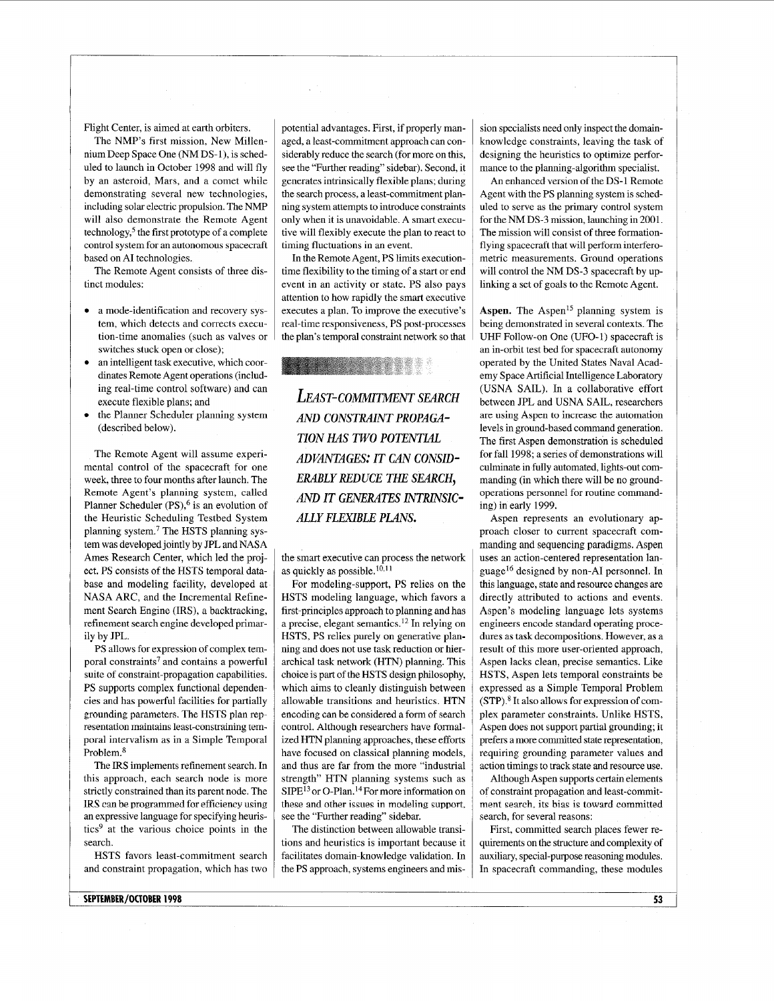Flight Center, is aimed at earth orbiters.

The NMP's first mission, New Millennium Deep Space One (NM DS-l), is scheduled to launch in October 1998 and will fly by an asteroid, Mars, and a comet while demonstrating several new technologies, including solar electric propulsion. The NMP will also demonstrate the Remote Agent technology,<sup>5</sup> the first prototype of a complete control system for an autonomous spacecraft based on AI technologies.

The Remote Agent consists of three distinct modules:

- a mode-identification and recovery system, which detects and corrects execution-time anomalies (such as valves or switches stuck open **or** close);
- an intelligent task executive, which coordinates Remote Agent operations (including real-time control software) and can execute flexible plans; and
- the Planner Scheduler planning system (described below).

The Remote Agent will assume experimental control of the spacecraft for one week, three to four months after launch. The Remote Agent's planning system, called Planner Scheduler  $(PS)$ , <sup>6</sup> is an evolution of the Heuristic Scheduling Testbed System planning system? The HSTS planning system was developed jointly by JPL and NASA Ames Research Center, which led the project. PS consists of the HSTS temporal database and modeling facility, developed at NASA ARC, and the Incremental Refinement Search Engine (IRS), a backtracking, refinement search engine developed primarily by JPL.

PS allows for expression of complex temporal constraints7 and contains a powerful suite of constraint-propagation capabilities. PS supports complex functional dependencies and has powerful facilities **for** partially grounding parameters. The HSTS plan representation maintains least-constraining temporal intervalism as in a Simple Temporal Problem.8

The IRS implements refinement search. In this approach, each search node is more strictly constrained than its parent node. The IRS can be programmed for efficiency using an expressive language for specifying heuristics9 at the various choice points in the search.

HSTS favors least-commitment search and constraint propagation, which has two

potential advantages. First, if properly managed, a least-commitment approach can considerably reduce the search (for more on this, see the "Further reading" sidebar). Second, it generates intrinsically flexible plans; during the search process, a least-commitment planning system attempts to introduce constraints only when it is unavoidable. A smart executive will flexibly execute the plan to react to timing fluctuations in an event.

In the Remote Agent, PS limits executiontime flexibility to the timing of a start or end event in an activity or state. PS also pays attention to how rapidly the smart executive executes a plan. To improve the executive's real-time responsiveness, PS post-processes the plan's temporal constraint network so that

## <u>Liste and the state of the state of the state of the state of the state of the state of the state of the state of the state of the state of the state of the state of the state of the state of the state of the state of the</u>

*LEAST-COMMITMENT SEARCH AND CONSTRAINT PROPAGA-TION HAS TWO POTENTIAL ADVANTAGES: IT CAN CONSID-ERABLY REDUCE THE SEARCH,*  **AND IT GENERATES INTRINSIC-***ALLY FLEXIBLE PLANS.* 

the smart executive can process the network as quickly as possible.<sup>10,11</sup>

For modeling-support, PS relies on the HSTS modeling language, which favors a first-principles approach to planning and has a precise, elegant semantics.I2 In relying on HSTS, PS relies purely on generative planning and does not use task reduction or hierarchical task network (HTN) planning. This choice is part of the HSTS design philosophy, which aims to cleanly distinguish between allowable transitions and heuristics. HTN encoding can be considered a form of search control. Although researchers have formalized HTN planning approaches, these efforts have focused on classical planning models, and thus are far from the more "industrial strength" HTN planning systems such as SIPE<sup>13</sup> or O-Plan.<sup>14</sup> For more information on these and other issues in modeling support, see the "Further reading" sidebar.

The distinction between allowable transitions and heuristics is important because it facilitates domain-knowledge validation. In the PS approach, systems engineers and mission specialists need only inspect the domainknowledge constraints, leaving the task of designing the heuristics to optimize performance to the planning-algorithm specialist.

An enhanced version of the DS-1 Remote Agent with the PS planning system is scheduled to serve as the primary control system for the NM DS-3 mission, launching in 2001. The mission will consist of three formationflying spacecraft that will perform interferometric measurements. Ground operations will control the NM DS-3 spacecraft by uplinking a set of goals to the Remote Agent.

**Aspen.** The Aspen<sup>15</sup> planning system is being demonstrated in several contexts. The UHF Follow-on One (UFO-1) spacecraft is an in-orbit test bed for spacecraft autonomy operated by the United States Naval Academy Space Artificial Intelligence Laboratory (USNA SAIL). In a collaborative effort between JPL and USNA SAIL, researchers are using Aspen to increase the automation levels in ground-based command generation. The first Aspen demonstration is scheduled for fall 1998; a series of demonstrations will culminate in fully automated, lights-out commanding (in which there will be no groundoperations personnel for routine commanding) in early 1999.

Aspen represents an evolutionary approach closer to current spacecraft commanding and sequencing paradigms. Aspen uses an action-centered representation language16 designed by non-AI personnel. In this language, state and resource changes are directly attributed to actions and events. Aspen's modeling language lets systems engineers encode standard operating procedures as task decompositions. However, as a result of this more user-oriented approach, Aspen lacks clean, precise semantics. Like HSTS, Aspen lets temporal constraints be expressed as a Simple Temporal Problem (STP).\* It also allows for expression of complex parameter constraints. Unlike HSTS, Aspen does not support partial grounding; it prefers a more committed state representation, requiring grounding parameter values and action timings to track state and resource use.

Although Aspen supports certain elements of constraint propagation and least-commitment search, its bias **is** toward committed search, for several reasons:

First, committed search places fewer requirements on the structure and complexity of auxiliary, special-purpose reasoning modules. In spacecraft commanding, these modules

**SEPTEMBER/OCTOBER 1998**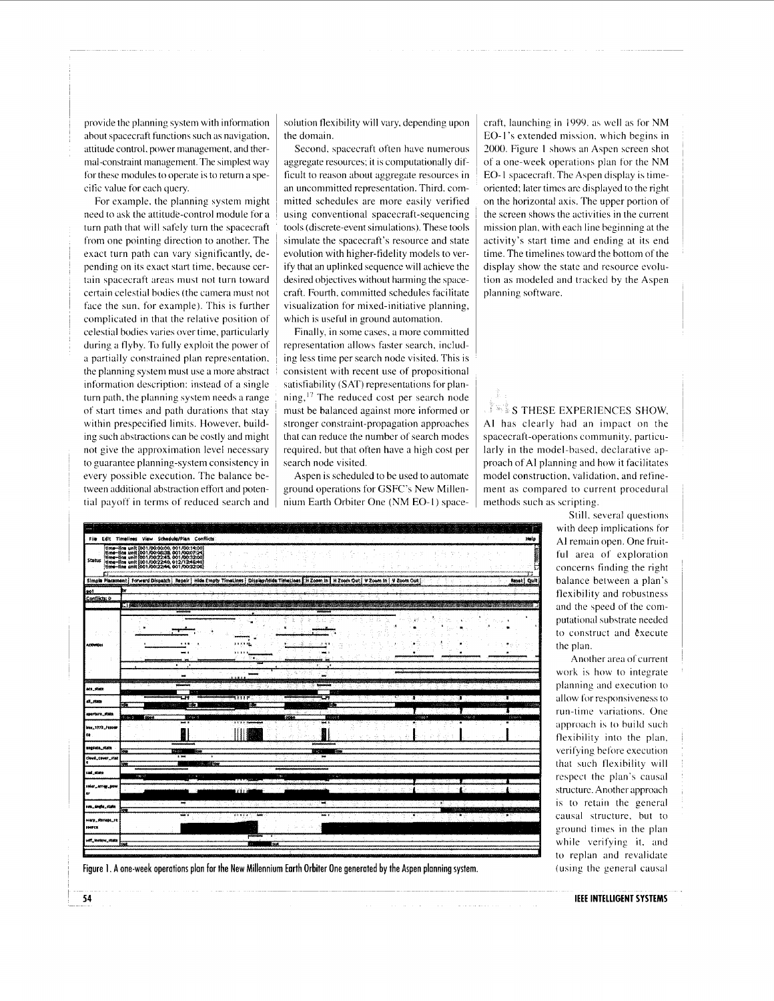provide the planning system with infomiation about spacecraft functions such as navigation, attitude control, power management, and thermal-constraint management. The simplest way for these modules to operate is to rettim a specific value for each query.

For example, the planning system might need to ask the attitude-control module for a turn path that will safely turn the spacecraft from one pointing direction to another. The exact turn path can vary significantly, depending on its exact start time, because certain spacecraft areas must not turn toward certain celestial bodies (the camera must not face the sun, for example). This is further complicated in that the relative position of celestial bodies varies over time, particularly during a flyby. To fully exploit the power of a partially constrained plan representation. the planning system must use a more abstract information description: instead of a single turn path. the planning system needs a range of start times and path durations that stay within prespecified limits. However, building such abstractions can be costly and might not give the approximation level necessary to guarantee planning-system consistency in every possible execution. The balance between additional abstraction effort and potential payoff in terms of reduced search and solution flexibility will vary, depending upon the domain.

Second, spacecraft often have numerous aggregate resources; it is computationally difficult to reason about aggregate resources in an uncommitted representation. Third, committed schedules are more easily verified using conventional spacecraft-sequencing tools (discrete-event simulations). These tools simulate the spacecraft's resource and state evolution with higher-fidelity models to verify that an uplinked sequence will achieve the desired objectives without harming the spacecraft. Fourth, committed schedules facilitate visualization for mixed-initiative planning, which is useful in ground automation.

Finally, in some cases, a more committed representation allows faster search, including less time per search node visited. This is consistent with recent use of propositional satisfiability (SAT) representations for planning,<sup>17</sup> The reduced cost per search node must be balanced against more informed or stronger constraint-propagation approaches that can reduce the number of search modes required. but that often have a high cost per search node visited.

Aspen is scheduled to be used to automate ground operations for GSFC's New Millennium Earth Orbiter One (NM EO-I) spacecraft, launching in 1999. as well as for NM EO- 1's extended mission. which begins in *2000.* Figure 1 shows an Aspen screen shot of a one-week operations plan for the NM EO-I spacecraft. Thc Aspen display is timeoriented; later times arc displayed to the right on the horizontal axis. The upper portion ot the screen shows the activities in the current mission plan, with each line beginning at the activity's start time and ending at its end time. The timelines toward the bottom of the display show the state and resource evolution as modeled and tracked by the Aspen planning software.

S THESE EXPERIENCES SHOW, AI has clearly had an impact on the spacecraft-operations community, particularly in the model-based, declarative approach ot AI planning and how it facilitates model construction, validation, and refinement as compared to current procedural methods such as scripting

> Still. several questions with deep implications for AI remain open. One fruitful area of exploration concerns finding the right balance between a plan's flexibility and robustness and the speed of the computational substrate needed to construct and execute the plan.

> Another area of current work is how to integrate planning and execution to allow for responsiveness to run-time variations. One approach is to build such flexihility into the plan. verifying before execution that such flexibility will respect thc plan's causal structure. Another approach is to retain the general causal structure, but to ground times in the plan while verifying it. and to replan and revalidate (using the general causal

|                      |                | File Edit Timalines View Schedule/Plan Conflicts                                                                                                                                                                                         |                      |         |                       |                                                                                                                                                |                 |                                         |                  |                   |      |         |        |         |        |        | Help         |
|----------------------|----------------|------------------------------------------------------------------------------------------------------------------------------------------------------------------------------------------------------------------------------------------|----------------------|---------|-----------------------|------------------------------------------------------------------------------------------------------------------------------------------------|-----------------|-----------------------------------------|------------------|-------------------|------|---------|--------|---------|--------|--------|--------------|
| <b>Status</b>        |                | time-line unit (001/00:00:00, 001/00:14:00)<br>time-line unit (001/00:06:38, 001/00:07:24)<br>time-line unit (001/00:22:45, 001/00:32:00)<br>(time-line unit (001/00:22:46, 012/13:46:40)<br>time-line unit (001/00:22:44, 001/00:32:00) |                      |         |                       |                                                                                                                                                |                 |                                         |                  |                   |      |         |        |         |        |        |              |
|                      |                |                                                                                                                                                                                                                                          |                      |         |                       | Simple Placement] Forward Dispatch   Repair   Hide Empty TimeLines   Display/Bide TimeLines   H Zoom in   H Zoom foly   V Zoom in   V Zoom Out |                 |                                         |                  |                   |      |         |        |         |        |        | Reset   Quit |
| 201                  |                |                                                                                                                                                                                                                                          |                      |         |                       |                                                                                                                                                |                 |                                         |                  |                   |      |         |        |         |        |        | æ.           |
| Conflicts: 0         |                |                                                                                                                                                                                                                                          |                      |         |                       |                                                                                                                                                |                 |                                         |                  |                   |      |         |        |         |        |        |              |
|                      |                | <b>AT A CONSIDERATION CONTINUES</b>                                                                                                                                                                                                      |                      |         |                       | <b>CARD CONSTRUCTS</b>                                                                                                                         |                 |                                         |                  |                   |      |         |        |         |        |        |              |
|                      |                |                                                                                                                                                                                                                                          |                      |         |                       |                                                                                                                                                |                 |                                         |                  |                   |      |         |        |         |        |        |              |
| <b>Activities</b>    |                |                                                                                                                                                                                                                                          | $\ddot{\phantom{1}}$ |         |                       |                                                                                                                                                |                 |                                         | $\mathbf{y}$     | $-1.101$          |      |         |        |         |        |        |              |
|                      |                |                                                                                                                                                                                                                                          |                      |         |                       |                                                                                                                                                |                 |                                         |                  |                   |      |         |        |         |        |        |              |
|                      |                |                                                                                                                                                                                                                                          | ٠                    |         |                       |                                                                                                                                                | ٠               |                                         | ٠                |                   |      |         |        |         |        |        |              |
|                      |                |                                                                                                                                                                                                                                          |                      |         |                       |                                                                                                                                                |                 |                                         |                  |                   |      |         |        |         |        |        |              |
|                      |                |                                                                                                                                                                                                                                          |                      |         |                       | 4.9.1.8                                                                                                                                        |                 |                                         |                  |                   |      |         |        |         |        |        |              |
| act_stick            |                |                                                                                                                                                                                                                                          |                      | m t     |                       |                                                                                                                                                |                 | æ                                       |                  |                   |      | 95. Co. |        |         |        |        |              |
| di state             | ю.             |                                                                                                                                                                                                                                          | u۲<br><b>SECTION</b> | lide)   |                       | turr.                                                                                                                                          | itri 18<br>idia |                                         |                  | سا<br>tidia       |      | £.      | т      |         | - 1    | т      |              |
| eperture_state       | <b>Base of</b> | <b>ODER</b>                                                                                                                                                                                                                              |                      | cinge d |                       |                                                                                                                                                |                 | open.                                   | $\sim$           | closed            |      |         | 310500 |         | inse d | closes |              |
| bus, 1773, Fesoir    |                |                                                                                                                                                                                                                                          | - 1                  |         |                       | 111111                                                                                                                                         |                 |                                         |                  |                   |      |         |        |         |        |        |              |
| te.                  |                |                                                                                                                                                                                                                                          |                      |         |                       |                                                                                                                                                |                 |                                         |                  |                   |      |         |        |         |        |        |              |
| angelica_state       | ä              |                                                                                                                                                                                                                                          | hujit                | ā       |                       |                                                                                                                                                |                 |                                         | had to           | loss <sub>1</sub> |      |         |        |         |        |        |              |
| cloud_cover_stat     | <b>FOR</b>     |                                                                                                                                                                                                                                          | . .                  |         | <b>Section Report</b> |                                                                                                                                                |                 |                                         |                  | m.                |      |         |        |         |        |        |              |
| 100.000              | <b>Incod</b>   |                                                                                                                                                                                                                                          |                      | ミノキシュ   |                       |                                                                                                                                                |                 | t no al                                 |                  | t in ge           |      |         |        |         |        |        |              |
| <b>SHAF_AFTW_BOM</b> |                |                                                                                                                                                                                                                                          |                      |         |                       |                                                                                                                                                |                 |                                         |                  |                   |      |         |        |         |        |        |              |
|                      |                |                                                                                                                                                                                                                                          |                      |         |                       | is Fra                                                                                                                                         |                 |                                         |                  |                   |      |         |        |         |        |        |              |
| sus_angle_state      | low            |                                                                                                                                                                                                                                          | ≖                    |         |                       |                                                                                                                                                | Jul.            | $\mathcal{L}^{(1)}_{\mathcal{L}^{(1)}}$ | There of Last II | w.                | .3 V | na si   | $\sim$ | щ.<br>F |        |        |              |
| warp_storage_re      |                |                                                                                                                                                                                                                                          |                      |         |                       | 11111                                                                                                                                          |                 |                                         |                  | ш.,               |      |         | ×,     |         | 著店     |        |              |
| source:              |                |                                                                                                                                                                                                                                          |                      |         |                       |                                                                                                                                                |                 |                                         |                  |                   |      |         |        |         |        |        |              |
| uli, mukw_state      | out            |                                                                                                                                                                                                                                          |                      |         |                       | w                                                                                                                                              |                 | <b>OUT</b>                              |                  |                   |      |         |        |         |        |        |              |
|                      |                |                                                                                                                                                                                                                                          |                      |         |                       |                                                                                                                                                |                 |                                         |                  |                   |      |         |        |         |        |        |              |
|                      |                |                                                                                                                                                                                                                                          |                      |         |                       |                                                                                                                                                |                 |                                         |                  |                   |      |         |        |         |        |        |              |

Figure **1.** A one-week operations plan for the New Millennium Earth Orbiter One generated by the Aspen planning system.